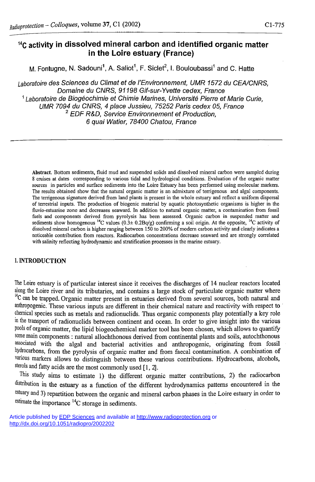# **<sup>14</sup>C activity in dissolved mineral carbon and identified organic matter in the Loire estuary (France)**

M. Fontugne, N. Sadouni', A. Saliot', F. Siclet<sup>∠</sup>, I. Bouloubassi' and C. Hatte

*Laboratoire des Sciences du Climat et de l'Environnement, UMR 1572 du CEA/CNRS, Domaine du CNRS, 91198 Gif-sur-Yvette cedex, France 1 Laboratoire de Biogéochimie et Chimie Marines, Université Pierre et Marie Curie, UMR 7094 du CNRS, 4 place Jussieu, 75252 Paris cedex 05, France 2 EDF R&D, Service Environnement et Production, 6 quai Watier, 78400 Chatou, France* 

**Abstract. Bottom sediments, fluid mud and suspended solids and dissolved mineral carbon were sampled during 8 cruises at dates corresponding to various tidal and hydrological conditions. Evaluation of the organic matter sources in particles and surface sediments into the Loire Estuary has been performed using molecular markers. The results obtained show that the natural organic matter is an admixture of terrigenous and algal components. The terrigenous signature derived from land plants is present in the whole estuary and reflect a uniform dispersal of terrestrial inputs. The production of biogenic material by aquatic photosynthetic organisms is higher in the fluvio-estuarine zone and decreases seaward. In addition to natural organic matter, a contamination from fossil fuels and components derived from pyrolysis has been assessed. Organic carbon in suspended matter and**  sediments show homogenous <sup>14</sup>C values  $(0.3 \pm 0.2 \text{Bg/s})$  confirming a soil origin. At the opposite, <sup>14</sup>C activity of **dissolved mineral carbon is higher ranging between 150 to 200% of modern carbon activity and clearly indicates a noticeable contribution from reactors. Radiocarbon concentrations decrease seaward and are strongly correlated with salinity reflecting hydrodynamic and stratification processes in the marine estuary.** 

### 1. INTRODUCTION

The Loire estuary is of particular interest since it receives the discharges of 14 nuclear reactors located along the Loire river and its tributaries, and contains a large stock of particulate organic matter where <sup>14</sup>C can be trapped. Organic matter present in estuaries derived from several sources, both natural and anthropogenic. These various inputs are different in their chemical nature and reactivity with respect to chemical species such as metals and radionuclids. Thus organic components play potentially a key role in the transport of radionuclids between continent and ocean. In order to give insight into the various pools of organic matter, the lipid biogeochemical marker tool has been chosen, which allows to quantify some main components : natural allochthonous derived from continental plants and soils, autochthonous associated with the algal and bacterial activities and anthropogenic, originating from fossil hydrocarbons, from the pyrolysis of organic matter and from faecal contamination. A combination of various markers allows to distinguish between these various contributions. Hydrocarbons, alcohols, sterols and fatty acids are the most commonly used [1,2].

This study aims to estimate 1) the different organic matter contributions, 2) the radiocarbon distribution in the estuary as a function of the different hydrodynamics patterns encountered in the estuary and 3) repartition between the organic and mineral carbon phases in the Loire estuary in order to <sup>estimate the importance <sup>14</sup>C storage in sediments.</sup>

Article published by [EDP Sciences](http://www.edpsciences.org/) and available at <http://www.radioprotection.org> or <http://dx.doi.org/10.1051/radiopro/2002202>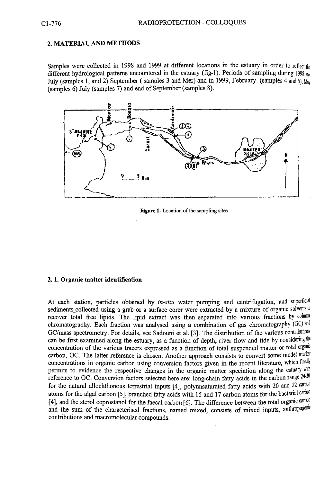#### **2. MATERIAL AND METHODS**

Samples were collected in 1998 and 1999 at different locations in the estuary in order to reflect the different hydrological patterns encountered in the estuary (fig-1). Periods of sampling during 1998 are July (samples 1, and 2) September (samples 3 and Mer) and in 1999, February (samples 4 and 5)  $M_{av}$ (samples 6) July (samples 7) and end of September (samples 8).



**Figure 1- Location of the sampling sites** 

#### **2.1. Organic matter identification**

At each station, particles obtained by *in-situ* water pumping and centrifugation, and superficial sediments\_collected using a grab or a surface corer were extracted by a mixture of organic solvents to recover total free lipids. The lipid extract was then separated into various fractions by column chromatography. Each fraction was analysed using a combination of gas chromatography (GC) and GC/mass spectrometry. For details, see Sadouni et al. [3]. The distribution of the various contributions can be first examined along the estuary, as a function of depth, river flow and tide by considering the concentration of the various tracers expressed as a function of total suspended matter or total organic carbon, OC. The latter reference is chosen. Another approach consists to convert some model marker concentrations in organic carbon using conversion factors given in the recent literature, which finally permits to evidence the respective changes in the organic matter speciation along the estuary with reference to OC. Conversion factors selected here are: long-chain fatty acids in the carbon range  $24-30$ for the natural allochthonous terrestrial inputs [4], polyunsaturated fatty acids with 20 and 22 carbon atoms for the algal carbon [5], branched fatty acids with 15 and 17 carbon atoms for the bacterial carbon [4], and the sterol coprostanol for the faecal carbon [6]. The difference between the total organic carbon and the sum of the characterised fractions, named mixed, consists of mixed inputs, anthropogenic contributions and macromolecular compounds.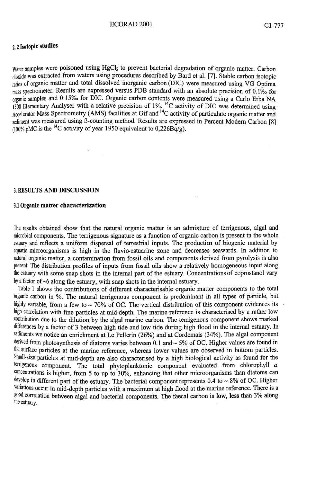### 2, 2 Isotopic studies

 $W<sub>alter</sub>$  samples were poisoned using  $HgCl<sub>2</sub>$  to prevent bacterial degradation of organic matter. Carbon dioxide was extracted from waters using procedures described by Bard et al. [7]. Stable carbon isotopic ratios of organic matter and total dissolved inorganic carbon (DIC) were measured using VG Optima  $_{\text{mass}}$  spectrometer. Results are expressed versus PDB standard with an absolute precision of 0.1% for  $_{\text{organic}}$  samples and 0.15‰ for DIC. Organic carbon contents were measured using a Carlo Erba NA 1500 Elementary Analyser with a relative precision of 1%. <sup>14</sup>C activity of DIC was determined using Accelerator Mass Spectrometry (AMS) facilities at Gif and <sup>14</sup>C activity of particulate organic matter and sediment was measured using B-counting method. Results are expressed in Percent Modern Carbon [8] (100% pMC is the <sup>14</sup>C activity of year 1950 equivalent to  $0,226Bq/g$ ).

### 3, RESULTS AND DISCUSSION

#### 3.1 **Organic matter characterization**

The results obtained show that the natural organic matter is an admixture of terrigenous, algal and microbial components. The terrigenous signature as a function of organic carbon is present in the whole estuary and reflects a uniform dispersal of terrestrial inputs. The production of biogenic material by aquatic microorganisms is high in the fluvio-estuarine zone and decreases seawards. In addition to natural organic matter, a contamination from fossil oils and components derived from pyrolysis is also present. The distribution profiles of inputs from fossil oils show a relatively homogeneous input along the estuary with some snap shots in the internal part of the estuary. Concentrations of coprostanol vary by a factor of ~6 along the estuary, with snap shots in the internal estuary.

Table 1 shows the contributions of different characterisable organic matter components to the total organic carbon in %. The natural terrigenous component is predominant in all types of particle, but highly variable, from a few to  $\sim$  70% of OC. The vertical distribution of this component evidences its high correlation with fine particles at mid-depth. The marine reference is characterised by a rather low contribution due to the dilution by the algal marine carbon. The terrigenous component shows marked differences by a factor of 3 between high tide and low tide during high flood in the internal estuary. In sediments we notice an enrichment at Le Pellerin (26%) and at Cordemais (34%). The algal component derived from photosynthesis of diatoms varies between 0.1 and ~ 5% of OC. Higher values are found in the surface particles at the marine reference, whereas lower values are observed in bottom particles. Small-size particles at mid-depth are also characterised by a high biological activity as found for the terrigenous component. The total phytoplanktonic component evaluated from chlorophyll *a*  concentrations is higher, from 5 to up to 30%, enhancing that other microorganisms than diatoms can develop in different part of the estuary. The bacterial component represents 0.4 to ~ 8% of OC. Higher variations occur in mid-depth particles with a maximum at high flood at the marine reference. There is a good correlation between algal and bacterial components. The faecal carbon is low, less than 3% along the estuary.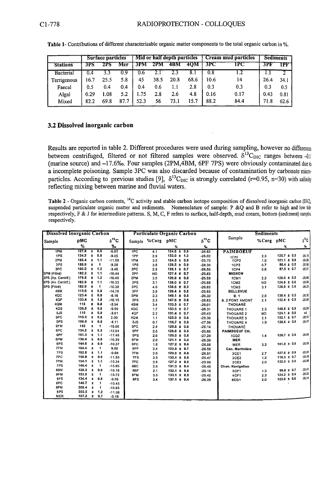|                 |      | Surface particles |      | Mid or half depth particles |         |      |      | Cream mud particles |      | <b>Sediments</b> |       |
|-----------------|------|-------------------|------|-----------------------------|---------|------|------|---------------------|------|------------------|-------|
| <b>Stations</b> | 3FS  | 2PS               | Mer  |                             | 3PM 2PM | 4BM  | 40M  | 3PC                 | IPC  | 3PF              | $\Pi$ |
| Bacterial       | 0.4  |                   |      | 0.6                         |         |      |      |                     |      |                  |       |
| Terrigenous     | 16.7 | 25.5              | 5.8  | 45                          | 38.5    | 20.8 | 68.6 | 10.6                | 14   | 26.4             | 34.1  |
| Faecal          | 0.5  | 0.4               | 0.4  | 0.4                         | 0.6     |      | 2.8  | 0.3                 | 0.3  | 0.3              | 0.5   |
| Algal           | 0.29 | 1.08              | 5.2  | 1.75                        | 2.8     | 2.6  | 4.8  | 0.16                | 0.17 | 0.43             | 0.81  |
| Mixed           | 82.2 | 69.8              | 87.7 | 52.3                        | 56      | 73.1 | 15.7 | 88.2                | 84.4 | 71.8             | 62.6  |

**Table 1- Contributions of different characterisable organic matter components to the total organic carbon in %.** 

## **3.2 Dissolved inorganic carbon**

Results are reported in table 2. Different procedures were used during sampling, however no differences between centrifuged, filtered or not filtered samples were observed.  $\delta^{13}C_{\text{DIC}}$  ranges between -0.1 (marine source) and -17.6**%o.** Four samples (2PM,4BM, 6PF 7PS) were obviously contaminated due to a incomplete poisoning. Sample 3PC was also discarded because of contamination by carbonate microparticles. According to previous studies [9],  $\delta^{13}C_{\text{DIC}}$  is strongly correlated (r=0.95, n=30) with salinity reflecting mixing between marine and fluvial waters.

**Table 2** - Organic carbon contents, "C activity and stable carbon isotope composition of dissolved inorganic carbon (DIC), **suspended particulate organic matter and sediments. Nomenclature of sample: P &Q and B refer to high and low tide respectively, F & J for intermediate patterns. S, M, C, F refers to surface, half-depth, mud cream, bottom (sediment) samples respectively.** 

| <b>Dissolved Inorganic Carbon</b> |       |                 |                      |          |                  |           | Particulate Organic Carbon |                       | Sediments              |           |                 |          |
|-----------------------------------|-------|-----------------|----------------------|----------|------------------|-----------|----------------------------|-----------------------|------------------------|-----------|-----------------|----------|
| pMC<br>Sample                     |       | $\delta^{13}$ C |                      |          | Sample %Corg pMC |           | $a^{13}C$                  | Sample                | %Corg pMC              |           | $\delta^{13}C$  |          |
|                                   | %     |                 |                      | $\%$ o   |                  |           | %                          | $\mathbf{v}_{\rm ex}$ |                        |           | ℁               | ٧.       |
| 1PM                               | 127.8 | Ŧ               | 0.9                  | $-6.81$  | 1PC              | 4.1       | $124.6 \pm 0.6$            | $-26.62$              | <b>PAIMBOEUF</b>       |           |                 |          |
| 1PS                               | 134.2 | $\pm$           | 0.9                  | $-9.05$  | 1PF              | 2.9       | $133.0 \pm 1.2$            | $-26.02$              | ICP0                   | 2.3       | $125.7 \pm 0.5$ | $-25.10$ |
| 2PM                               | 185.4 | $\pm$           | 1.1                  | $-11.58$ | 1PM              | 3.2       | $124.5 \pm 0.9$            | $-25.75$              | <b>1CP2</b>            | 1.9       | $1211 \pm 0.8$  | $-26.05$ |
| 2PS                               | 188.9 | $\pm$           | $\blacksquare$       | $-9.28$  | 1PS              | 3.8       | $128.5 \pm 0.9$            | $-28.30$              | 1CP3                   | 0.7       | 86.4 ± 0.5      | $-25.58$ |
| 3PC                               | 160.2 | ÷               | 1.3                  | $-3.46$  | 2PC              | 2.9       | $126.1 \pm 0.7$            | $-26.55$              | <b>1CP4</b>            | 0.6       | $0.75 \pm 0.7$  | $-25.51$ |
| 3PM (Filtré)                      | 182.2 | ÷               | 1.1                  | $-10.44$ | 2PF              | <b>ND</b> | $127.4 \pm 0.7$            | $-25.63$              | <b>MIGRON</b>          |           |                 |          |
| 3PS (Ap. Centrif.)                | 179.8 | $\pm$           | 1.2                  | $-10.45$ | 2PM              | 3.0       | $129.8 \pm 0.5$            | $-25.58$              | 1CM1                   | 2.2       | $128.0 \pm 0.5$ | $-25.89$ |
| 3PS (Av. Centrif.)                | 182.9 | $\pm$           | 1.1                  | $-10.33$ | 2PS              | 3.1       | $138.0 \pm 0.7$            | $-25.68$              | 1CM <sub>2</sub>       | <b>ND</b> | $124.8 \pm 0.6$ | $-26.00$ |
| 3PS (Filtré)                      | 182.9 | $\bullet$       | $\ddot{\phantom{1}}$ | $-10.38$ | 3PC              | 4.0       | $138.6 \pm 0.3$            | $-26.65$              | 1CM3                   | 3.1       | $126.9 \pm 0.6$ | $-26.25$ |
| 4BM                               | 115.6 | $\pm$           | 0.8                  | $-14.76$ | 3PF              | 2.9       | $126.4 \pm 0.5$            | $-25.65$              | <b>BELLEVUE</b>        |           |                 |          |
| 4QC                               | 123.4 | $\bullet$       | 0.9                  | $-6.16$  | 3PM              | 2.3       | $149.1 \pm 0.9$            | $-26.32$              | B.1                    | 2.8       | $138.4 \pm 0.5$ | $-26.30$ |
| 4QF                               | 133.4 | $\bullet$       | 1.8                  | $-10.15$ | 3PS              | 2.3       | $147.6 \pm 0.6$            | $-26.63$              | <b>B. 2 PONT AMONT</b> | 2.1       | $132.4 \pm 0.5$ | $-26.08$ |
| 4QM                               | 115   | ÷.              | 0.8                  | $-3.54$  | 48M              | 3.4       | $133.5 \pm 0.7$            | $-26.01$              | THOUARÉ                |           |                 |          |
| 4QS                               | 135.5 | Ŧ               | 0.9                  | $-9.99$  | 4QC              | 1.7       | $133.5 \pm 0.7$            | $-26.31$              | THOUARE 1              | 2.3       | $149.8 \pm 0.9$ | $-25.99$ |
| 5JS                               | 110   | $\pm$           | 0.8                  | $-3.61$  | 4QF              | 2.2       | $131.4 \pm 0.7$            | $-26.43$              | THOUARE 2              | <b>ND</b> | $124.1 \pm 0.9$ | nd       |
| 5PC                               | 115.3 | Ŧ.              | 0.8                  | 2.00     | 4QM              | 1.1       | $125.0 \pm 0.6$            | $-26.30$              | <b>THOUARE 3</b>       | 2.1       | $153.1 \pm 0.7$ | $-26.50$ |
| 5PS                               | 109.8 | $\pmb{\pm}$     | 0.8                  | $-4.11$  | 5JS              | 0.7       | $116.7 \pm 0.8$            | $-27.56$              | THOUARE 4              | 1.9       | $139.6 \pm 0.8$ | $-26.07$ |
| 6FM                               | 152   | Ŧ               | 1                    | $-10.06$ | 5PC              | 2.4       | $129.6 \pm 0.6$            | $-26.14$              | THOUARÉ                |           |                 |          |
| 6PC                               | 134.2 | $\star$         | 0.9                  | $-12.04$ | 5PF              | 2.5       | $126.6 \pm 0.5$            | $-25.86$              | <b>PAIMBOEUF CH.</b>   |           |                 |          |
| 6PF                               | 161.3 | Ŧ               | 1.1                  | $-17.46$ | 5PS              | 2.6       | $125.0 \pm 0.8$            | $-27.29$              | <b>1CQ2</b>            | 1.4       | $128.7 \pm 0.6$ | $-26.68$ |
| 6PM                               | 139.4 | $\ddagger$      | 0.8                  | $-10.39$ | 6FM              | 2.0       | $121.1 \pm 0.4$            | $-26.39$              | <b>MER</b>             |           |                 |          |
| 6PS                               | 144.6 | Ŧ               | 0.9                  | $-10.37$ | 6PC              | 1.8       | $127.2 \pm 0.6$            | $-26.56$              | <b>MER</b>             | 3.3       | $101.9 \pm 0.6$ | $-20.06$ |
| 7FM                               | 194.4 | $\pm$           | $\blacktriangleleft$ | 9.86     | 6PF              | 2.4       | $123.8 \pm 0.7$            | $-26.58$              | Can. Martinlère        |           |                 |          |
| 7FS                               | 192.8 | $\pm$           | 1.1                  | $-9.68$  | 7FM              | 2.6       | $129.9 \pm 0.6$            | $-26.51$              | 3CE1                   | 2.7       | $127.6 \pm 0.9$ | $-25.94$ |
| 7PC                               | 156.9 | ÷               | 0.9                  | $-11.53$ | 7FS              | 2.5       | $133.1 \pm 0.6$            | $-26.47$              | 3CE2                   | 1.2       | $116.3 \pm 0.7$ | $-26.49$ |
| 7PM                               | 194.1 | ±,              | 1.1                  | $-10.24$ | 7PC              | 2.6       | $127.2 \pm 0.6$            | $-25.99$              | 3CE3                   | 2.0       | $132.0 \pm 0.6$ | $-25.86$ |
| 7PS                               | 149.4 | Ŧ               | $\mathbf{f}$         | $-15.95$ | 8BC              | 2.9       | $131.3 \pm 0.4$            | $-26.40$              | Chen. Navigation       |           |                 |          |
| 8BM                               | 128.3 | $\pm$           | 0.9                  | $-10.16$ | 8BF              | 2.1       | $132.1 \pm 0.6$            | $-26.18$              | 3CF1                   | 1.3       | $96.6 \pm 0.7$  | $-25.41$ |
| 8FM                               | 153.2 | $\pm$           | $\mathbf{1}$         | $-10.72$ | 8FM              | 3.5       | $133.1 \pm 0.5$            | $-26.42$              | 4CF1                   | 2.3       | $124.2 \pm 0.4$ | $-26.05$ |
| 8FS                               | 134.4 | $\pm$           | 0.8                  | $-9.56$  | 8FS              | 3.4       | $137.1 \pm 0.4$            | $-26.29$              | 4CG1                   | 2.0       | $123.0 \pm 0.6$ | $-26.14$ |
| 8PC                               | 146.7 | $\pm$           | 1                    | $-10.45$ |                  |           |                            |                       |                        |           |                 |          |
| 8PM                               | 206.4 | ±               | 1                    | $-10.65$ |                  |           |                            |                       |                        |           |                 |          |
| 8PS                               | 203.3 | Ŧ               | 1.2                  | $-11.08$ |                  |           |                            |                       |                        |           |                 |          |
| <b>MER</b>                        | 107.2 | $\pm$           | 0.7                  | $-0.19$  |                  |           |                            |                       |                        |           |                 |          |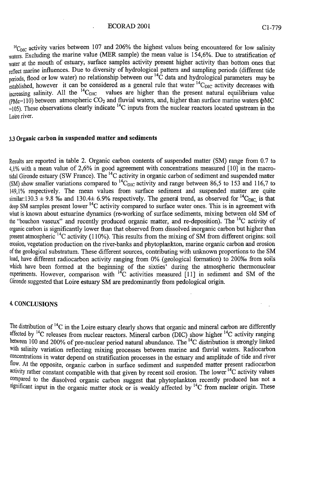#### ECORAD 2001 Cl-779

 $\rm{^{14}C_{\rm{DIC}}}$  activity varies between 107 and 206% the highest values being encountered for low salinity waters. Excluding the marine value (MER sample) the mean value is 154,6%. Due to stratification of water at the mouth of estuary, surface samples activity present higher activity than bottom ones that reflect marine influences. Due to diversity of hydrological pattern and sampling periods (different tide <sub>periods</sub>, flood or low water) no relationship between our "C data and hydrological parameters may be  $\epsilon_{\text{stablished}}$ , however it can be considered as a general rule that water  $\rm^{14}C_{DIC}$  activity decreases with increasing salinity. All the  $^{14}C$ values are higher than the present natural equilibrium value ( $PMc=110$ ) between atmospheric CO<sub>2</sub> and fluvial waters, and, higher than surface marine waters  $\phi$ MC  $=$ 105). These observations clearly indicate <sup>14</sup>C inputs from the nuclear reactors located upstream in the Loire river.

#### **3 . 3 Organic carbon in suspended matter and sediments**

Results are reported in table 2. Organic carbon contents of suspended matter (SM) range from 0.7 to 4,1% with a mean value of 2,6% in good agreement with concentrations measured [10] in the macrotidal Gironde estuary (SW France). The <sup>14</sup>C activity in organic carbon of sediment and suspended matter (SM) show smaller variations compared to  ${}^{14}C_{\text{DIC}}$  activity and range between 86,5 to 153 and 116,7 to 149,1% respectively. The mean values from surface sediment and suspended matter are quite similar:130.3  $\pm$  9.8 ‰ and 130.4 $\pm$  6.9% respectively. The general trend, as observed for <sup>14</sup>C<sub>DIC,</sub> is that deep SM samples present lower <sup>14</sup>C activity compared to surface water ones. This is in agreement with what is known about estuarine dynamics (re-working of surface sediments, mixing between old SM of the "bouchon vaseux" and recently produced organic matter, and re-deposition). The <sup>14</sup>C activity of organic carbon is significantly lower than that observed from dissolved inorganic carbon but higher than present atmospheric  $^{14}C$  activity (110%). This results from the mixing of SM from different origins: soil erosion, vegetation production on the river-banks and phytoplankton, marine organic carbon and erosion of the geological substratum. These different sources, contributing with unknown proportions to the S M load, have different radiocarbon activity ranging from 0% (geological formation) to 200**%o** from soils which have been formed at the beginning of the sixties' during the atmospheric thermonuclear experiments. However, comparison with  ${}^{14}C$  activities measured [11] in sediment and SM of the Gironde suggested that Loire estuary SM are predominantly from pedological origin.

#### 4. CONCLUSIONS

The distribution of <sup>14</sup>C in the Loire estuary clearly shows that organic and mineral carbon are differently affected by <sup>14</sup>C releases from nuclear reactors. Mineral carbon (DIC) show higher <sup>14</sup>C activity ranging between 100 and 200% of pre-nuclear period natural abundance. The <sup>14</sup>C distribution is strongly linked with salinity variation reflecting mixing processes between marine and fluvial waters. Radiocarbon concentrations in water depend on stratification processes in the estuary and amplitude of tide and river flow. At the opposite, organic carbon in surface sediment and suspended matter present radiocarbon activity rather constant compatible with that given by recent soil erosion. The lower  ${}^{14}C$  activity values compared to the dissolved organic carbon suggest that phytoplankton recently produced has not a significant input in the organic matter stock or is weakly affected by <sup>14</sup>C from nuclear origin. These